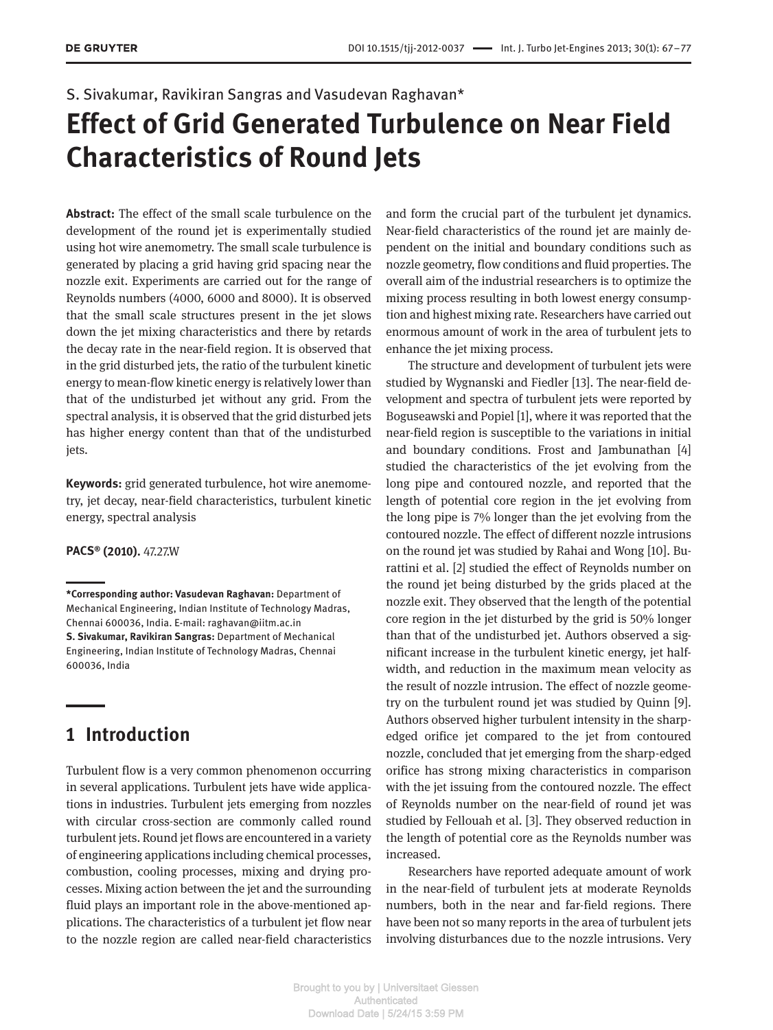#### S. Sivakumar, Ravikiran Sangras and Vasudevan Raghavan\*

# **Effect of Grid Generated Turbulence on Near Field Characteristics of Round Jets**

**Abstract:** The effect of the small scale turbulence on the development of the round jet is experimentally studied using hot wire anemometry. The small scale turbulence is generated by placing a grid having grid spacing near the nozzle exit. Experiments are carried out for the range of Reynolds numbers (4000, 6000 and 8000). It is observed that the small scale structures present in the jet slows down the jet mixing characteristics and there by retards the decay rate in the near-field region. It is observed that in the grid disturbed jets, the ratio of the turbulent kinetic energy to mean-flow kinetic energy is relatively lower than that of the undisturbed jet without any grid. From the spectral analysis, it is observed that the grid disturbed jets has higher energy content than that of the undisturbed jets.

**Keywords:** grid generated turbulence, hot wire anemometry, jet decay, near-field characteristics, turbulent kinetic energy, spectral analysis

**PACS® (2010).** 47.27.W

## **1 Introduction**

Turbulent flow is a very common phenomenon occurring in several applications. Turbulent jets have wide applications in industries. Turbulent jets emerging from nozzles with circular cross-section are commonly called round turbulent jets. Round jet flows are encountered in a variety of engineering applications including chemical processes, combustion, cooling processes, mixing and drying processes. Mixing action between the jet and the surrounding fluid plays an important role in the above-mentioned applications. The characteristics of a turbulent jet flow near to the nozzle region are called near-field characteristics and form the crucial part of the turbulent jet dynamics. Near-field characteristics of the round jet are mainly dependent on the initial and boundary conditions such as nozzle geometry, flow conditions and fluid properties. The overall aim of the industrial researchers is to optimize the mixing process resulting in both lowest energy consumption and highest mixing rate. Researchers have carried out enormous amount of work in the area of turbulent jets to enhance the jet mixing process.

The structure and development of turbulent jets were studied by Wygnanski and Fiedler [13]. The near-field development and spectra of turbulent jets were reported by Boguseawski and Popiel [1], where it was reported that the near-field region is susceptible to the variations in initial and boundary conditions. Frost and Jambunathan [4] studied the characteristics of the jet evolving from the long pipe and contoured nozzle, and reported that the length of potential core region in the jet evolving from the long pipe is 7% longer than the jet evolving from the contoured nozzle. The effect of different nozzle intrusions on the round jet was studied by Rahai and Wong [10]. Burattini et al. [2] studied the effect of Reynolds number on the round jet being disturbed by the grids placed at the nozzle exit. They observed that the length of the potential core region in the jet disturbed by the grid is 50% longer than that of the undisturbed jet. Authors observed a significant increase in the turbulent kinetic energy, jet halfwidth, and reduction in the maximum mean velocity as the result of nozzle intrusion. The effect of nozzle geometry on the turbulent round jet was studied by Quinn [9]. Authors observed higher turbulent intensity in the sharpedged orifice jet compared to the jet from contoured nozzle, concluded that jet emerging from the sharp-edged orifice has strong mixing characteristics in comparison with the jet issuing from the contoured nozzle. The effect of Reynolds number on the near-field of round jet was studied by Fellouah et al. [3]. They observed reduction in the length of potential core as the Reynolds number was increased.

Researchers have reported adequate amount of work in the near-field of turbulent jets at moderate Reynolds numbers, both in the near and far-field regions. There have been not so many reports in the area of turbulent jets involving disturbances due to the nozzle intrusions. Very

**<sup>\*</sup>Corresponding author: Vasudevan Raghavan:** Department of Mechanical Engineering, Indian Institute of Technology Madras, Chennai 600036, India. E-mail: raghavan@iitm.ac.in **S. Sivakumar, Ravikiran Sangras:** Department of Mechanical Engineering, Indian Institute of Technology Madras, Chennai 600036, India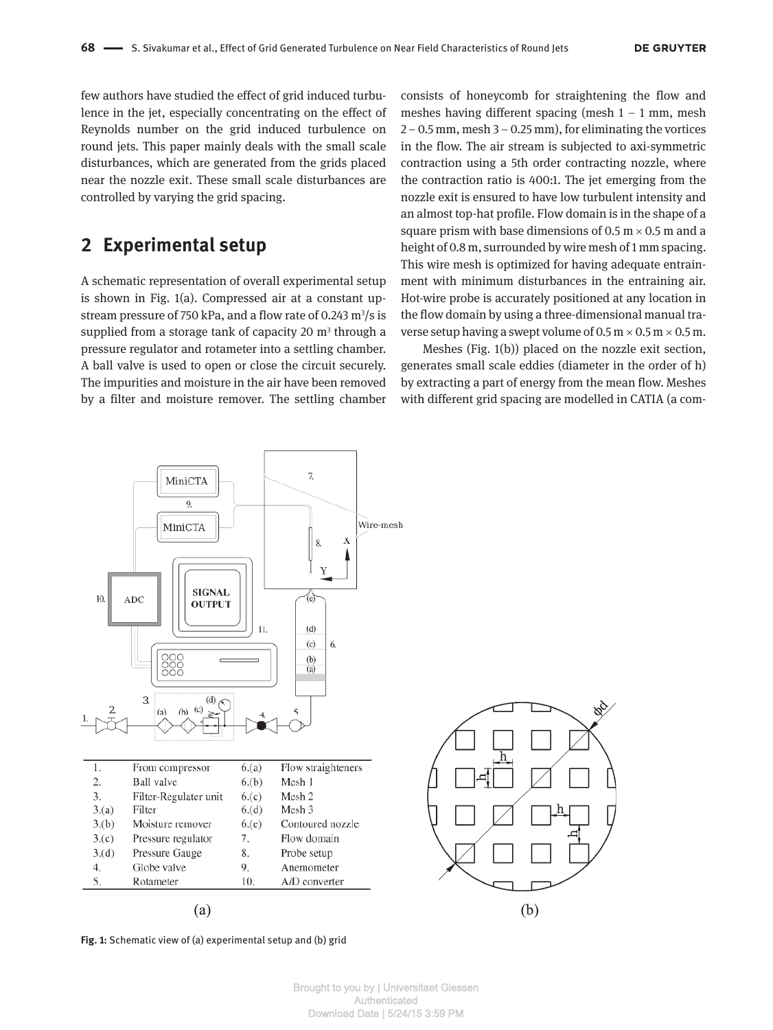few authors have studied the effect of grid induced turbulence in the jet, especially concentrating on the effect of Reynolds number on the grid induced turbulence on round jets. This paper mainly deals with the small scale disturbances, which are generated from the grids placed near the nozzle exit. These small scale disturbances are controlled by varying the grid spacing.

## **2 Experimental setup**

A schematic representation of overall experimental setup is shown in Fig. 1(a). Compressed air at a constant upstream pressure of 750 kPa, and a flow rate of 0.243 m<sup>3</sup>/s is supplied from a storage tank of capacity 20  $m<sup>3</sup>$  through a pressure regulator and rotameter into a settling chamber. A ball valve is used to open or close the circuit securely. The impurities and moisture in the air have been removed by a filter and moisture remover. The settling chamber

consists of honeycomb for straightening the flow and meshes having different spacing (mesh  $1 - 1$  mm, mesh  $2 - 0.5$  mm, mesh  $3 - 0.25$  mm), for eliminating the vortices in the flow. The air stream is subjected to axi-symmetric contraction using a 5th order contracting nozzle, where the contraction ratio is 400:1. The jet emerging from the nozzle exit is ensured to have low turbulent intensity and an almost top-hat profile. Flow domain is in the shape of a square prism with base dimensions of 0.5  $m \times 0.5$  m and a height of 0.8 m, surrounded by wire mesh of 1 mm spacing. This wire mesh is optimized for having adequate entrainment with minimum disturbances in the entraining air. Hot-wire probe is accurately positioned at any location in the flow domain by using a three-dimensional manual traverse setup having a swept volume of  $0.5$  m  $\times$   $0.5$  m  $\times$   $0.5$  m.

Meshes (Fig. 1(b)) placed on the nozzle exit section, generates small scale eddies (diameter in the order of h) by extracting a part of energy from the mean flow. Meshes with different grid spacing are modelled in CATIA (a com-

p.<br>2



**Fig. 1:** Schematic view of (a) experimental setup and (b) grid

Brought to you by | Universitaet Giessen Authenticated Download Date | 5/24/15 3:59 PM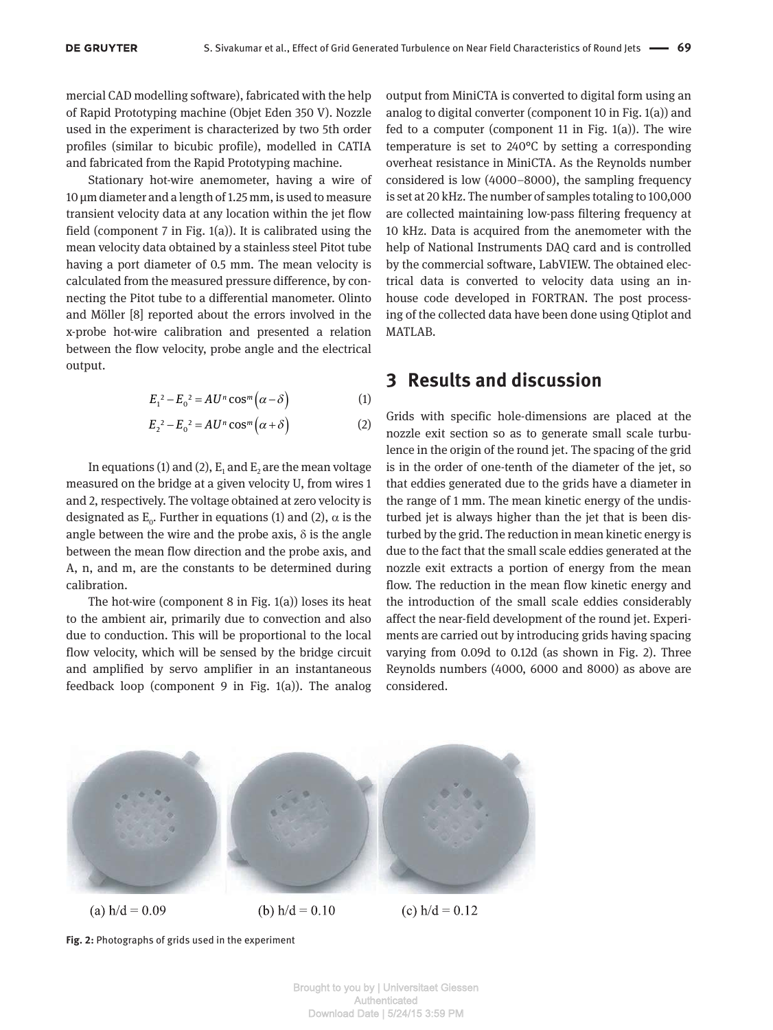mercial CAD modelling software), fabricated with the help of Rapid Prototyping machine (Objet Eden 350 V). Nozzle used in the experiment is characterized by two 5th order profiles (similar to bicubic profile), modelled in CATIA and fabricated from the Rapid Prototyping machine.

Stationary hot-wire anemometer, having a wire of 10 µm diameter and a length of 1.25 mm, is used to measure transient velocity data at any location within the jet flow field (component 7 in Fig. 1(a)). It is calibrated using the mean velocity data obtained by a stainless steel Pitot tube having a port diameter of 0.5 mm. The mean velocity is calculated from the measured pressure difference, by connecting the Pitot tube to a differential manometer. Olinto and Möller [8] reported about the errors involved in the x-probe hot-wire calibration and presented a relation between the flow velocity, probe angle and the electrical output.

$$
E_1^2 - E_0^2 = AU^n \cos^m(\alpha - \delta)
$$
 (1)

$$
E_2^2 - E_0^2 = AU^n \cos^m(\alpha + \delta)
$$
 (2)

In equations (1) and (2),  $\boldsymbol{\text{E}}_1$  and  $\boldsymbol{\text{E}}_2$  are the mean voltage measured on the bridge at a given velocity U, from wires 1 and 2, respectively. The voltage obtained at zero velocity is designated as  $E_0$ . Further in equations (1) and (2),  $\alpha$  is the angle between the wire and the probe axis,  $\delta$  is the angle between the mean flow direction and the probe axis, and A, n, and m, are the constants to be determined during calibration.

The hot-wire (component 8 in Fig. 1(a)) loses its heat to the ambient air, primarily due to convection and also due to conduction. This will be proportional to the local flow velocity, which will be sensed by the bridge circuit and amplified by servo amplifier in an instantaneous feedback loop (component 9 in Fig. 1(a)). The analog

output from MiniCTA is converted to digital form using an analog to digital converter (component 10 in Fig. 1(a)) and fed to a computer (component 11 in Fig. 1(a)). The wire temperature is set to 240°C by setting a corresponding overheat resistance in MiniCTA. As the Reynolds number considered is low (4000–8000), the sampling frequency is set at 20 kHz. The number of samples totaling to 100,000 are collected maintaining low-pass filtering frequency at 10 kHz. Data is acquired from the anemometer with the help of National Instruments DAQ card and is controlled by the commercial software, LabVIEW. The obtained electrical data is converted to velocity data using an inhouse code developed in FORTRAN. The post processing of the collected data have been done using Qtiplot and MATLAB.

### **3 Results and discussion**

Grids with specific hole-dimensions are placed at the nozzle exit section so as to generate small scale turbulence in the origin of the round jet. The spacing of the grid is in the order of one-tenth of the diameter of the jet, so that eddies generated due to the grids have a diameter in the range of 1 mm. The mean kinetic energy of the undisturbed jet is always higher than the jet that is been disturbed by the grid. The reduction in mean kinetic energy is due to the fact that the small scale eddies generated at the nozzle exit extracts a portion of energy from the mean flow. The reduction in the mean flow kinetic energy and the introduction of the small scale eddies considerably affect the near-field development of the round jet. Experiments are carried out by introducing grids having spacing varying from 0.09d to 0.12d (as shown in Fig. 2). Three Reynolds numbers (4000, 6000 and 8000) as above are considered.



**Fig. 2:** Photographs of grids used in the experiment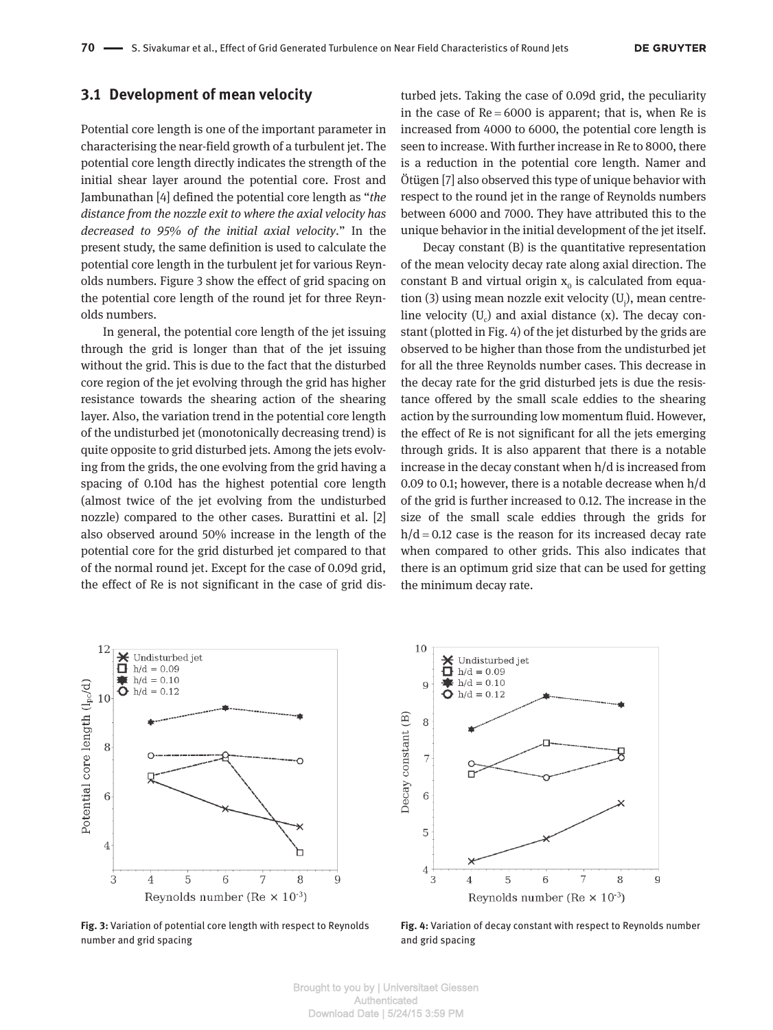#### **3.1 Development of mean velocity**

Potential core length is one of the important parameter in characterising the near-field growth of a turbulent jet. The potential core length directly indicates the strength of the initial shear layer around the potential core. Frost and Jambunathan [4] defined the potential core length as "*the distance from the nozzle exit to where the axial velocity has decreased to 95% of the initial axial velocity*." In the present study, the same definition is used to calculate the potential core length in the turbulent jet for various Reynolds numbers. Figure 3 show the effect of grid spacing on the potential core length of the round jet for three Reynolds numbers.

In general, the potential core length of the jet issuing through the grid is longer than that of the jet issuing without the grid. This is due to the fact that the disturbed core region of the jet evolving through the grid has higher resistance towards the shearing action of the shearing layer. Also, the variation trend in the potential core length of the undisturbed jet (monotonically decreasing trend) is quite opposite to grid disturbed jets. Among the jets evolving from the grids, the one evolving from the grid having a spacing of 0.10d has the highest potential core length (almost twice of the jet evolving from the undisturbed nozzle) compared to the other cases. Burattini et al. [2] also observed around 50% increase in the length of the potential core for the grid disturbed jet compared to that of the normal round jet. Except for the case of 0.09d grid, the effect of Re is not significant in the case of grid dis-

turbed jets. Taking the case of 0.09d grid, the peculiarity in the case of  $Re = 6000$  is apparent; that is, when Re is increased from 4000 to 6000, the potential core length is seen to increase. With further increase in Re to 8000, there is a reduction in the potential core length. Namer and Ötügen [7] also observed this type of unique behavior with respect to the round jet in the range of Reynolds numbers between 6000 and 7000. They have attributed this to the unique behavior in the initial development of the jet itself.

Decay constant (B) is the quantitative representation of the mean velocity decay rate along axial direction. The constant B and virtual origin  $x_0$  is calculated from equation (3) using mean nozzle exit velocity (U<sub>j</sub>), mean centreline velocity  $(U_c)$  and axial distance (x). The decay constant (plotted in Fig. 4) of the jet disturbed by the grids are observed to be higher than those from the undisturbed jet for all the three Reynolds number cases. This decrease in the decay rate for the grid disturbed jets is due the resistance offered by the small scale eddies to the shearing action by the surrounding low momentum fluid. However, the effect of Re is not significant for all the jets emerging through grids. It is also apparent that there is a notable increase in the decay constant when h/d is increased from 0.09 to 0.1; however, there is a notable decrease when h/d of the grid is further increased to 0.12. The increase in the size of the small scale eddies through the grids for  $h/d = 0.12$  case is the reason for its increased decay rate when compared to other grids. This also indicates that there is an optimum grid size that can be used for getting the minimum decay rate.



**Fig. 3:** Variation of potential core length with respect to Reynolds number and grid spacing



**Fig. 4:** Variation of decay constant with respect to Reynolds number and grid spacing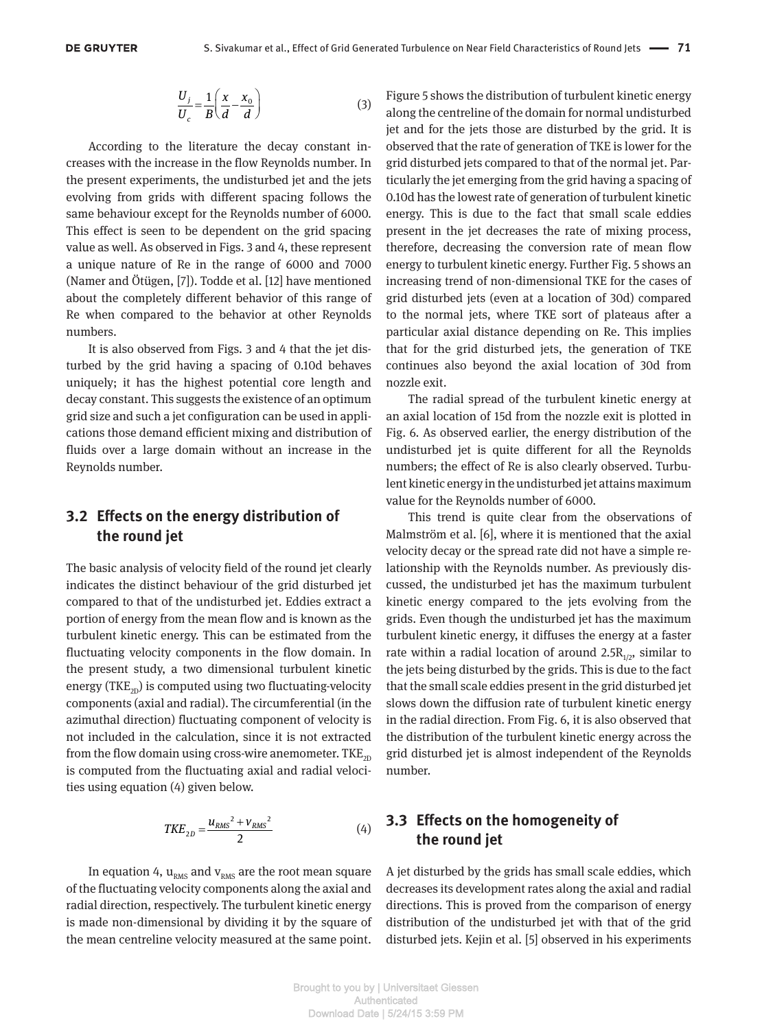$$
\frac{U_j}{U_c} = \frac{1}{B} \left( \frac{x}{d} - \frac{x_0}{d} \right)
$$
 (3)

According to the literature the decay constant increases with the increase in the flow Reynolds number. In the present experiments, the undisturbed jet and the jets evolving from grids with different spacing follows the same behaviour except for the Reynolds number of 6000. This effect is seen to be dependent on the grid spacing value as well. As observed in Figs. 3 and 4, these represent a unique nature of Re in the range of 6000 and 7000 (Namer and Ötügen, [7]). Todde et al. [12] have mentioned about the completely different behavior of this range of Re when compared to the behavior at other Reynolds numbers.

It is also observed from Figs. 3 and 4 that the jet disturbed by the grid having a spacing of 0.10d behaves uniquely; it has the highest potential core length and decay constant. This suggests the existence of an optimum grid size and such a jet configuration can be used in applications those demand efficient mixing and distribution of fluids over a large domain without an increase in the Reynolds number.

#### **3.2 Effects on the energy distribution of the round jet**

The basic analysis of velocity field of the round jet clearly indicates the distinct behaviour of the grid disturbed jet compared to that of the undisturbed jet. Eddies extract a portion of energy from the mean flow and is known as the turbulent kinetic energy. This can be estimated from the fluctuating velocity components in the flow domain. In the present study, a two dimensional turbulent kinetic energy (TKE<sub>2D</sub>) is computed using two fluctuating-velocity components (axial and radial). The circumferential (in the azimuthal direction) fluctuating component of velocity is not included in the calculation, since it is not extracted from the flow domain using cross-wire anemometer. TKE<sub>2D</sub> is computed from the fluctuating axial and radial velocities using equation (4) given below.

$$
TKE_{2D} = \frac{u_{RMS}^2 + v_{RMS}^2}{2}
$$
 (4)

In equation 4,  $u_{RMS}$  and  $v_{RMS}$  are the root mean square of the fluctuating velocity components along the axial and radial direction, respectively. The turbulent kinetic energy is made non-dimensional by dividing it by the square of the mean centreline velocity measured at the same point.

Figure 5 shows the distribution of turbulent kinetic energy along the centreline of the domain for normal undisturbed jet and for the jets those are disturbed by the grid. It is observed that the rate of generation of TKE is lower for the grid disturbed jets compared to that of the normal jet. Particularly the jet emerging from the grid having a spacing of 0.10d has the lowest rate of generation of turbulent kinetic energy. This is due to the fact that small scale eddies present in the jet decreases the rate of mixing process, therefore, decreasing the conversion rate of mean flow energy to turbulent kinetic energy. Further Fig. 5 shows an increasing trend of non-dimensional TKE for the cases of grid disturbed jets (even at a location of 30d) compared to the normal jets, where TKE sort of plateaus after a particular axial distance depending on Re. This implies that for the grid disturbed jets, the generation of TKE continues also beyond the axial location of 30d from nozzle exit.

The radial spread of the turbulent kinetic energy at an axial location of 15d from the nozzle exit is plotted in Fig. 6. As observed earlier, the energy distribution of the undisturbed jet is quite different for all the Reynolds numbers; the effect of Re is also clearly observed. Turbulent kinetic energy in the undisturbed jet attains maximum value for the Reynolds number of 6000.

This trend is quite clear from the observations of Malmström et al. [6], where it is mentioned that the axial velocity decay or the spread rate did not have a simple relationship with the Reynolds number. As previously discussed, the undisturbed jet has the maximum turbulent kinetic energy compared to the jets evolving from the grids. Even though the undisturbed jet has the maximum turbulent kinetic energy, it diffuses the energy at a faster rate within a radial location of around 2.5 $R_{1/2}$ , similar to the jets being disturbed by the grids. This is due to the fact that the small scale eddies present in the grid disturbed jet slows down the diffusion rate of turbulent kinetic energy in the radial direction. From Fig. 6, it is also observed that the distribution of the turbulent kinetic energy across the grid disturbed jet is almost independent of the Reynolds number.

#### **3.3 Effects on the homogeneity of the round jet**

A jet disturbed by the grids has small scale eddies, which decreases its development rates along the axial and radial directions. This is proved from the comparison of energy distribution of the undisturbed jet with that of the grid disturbed jets. Kejin et al. [5] observed in his experiments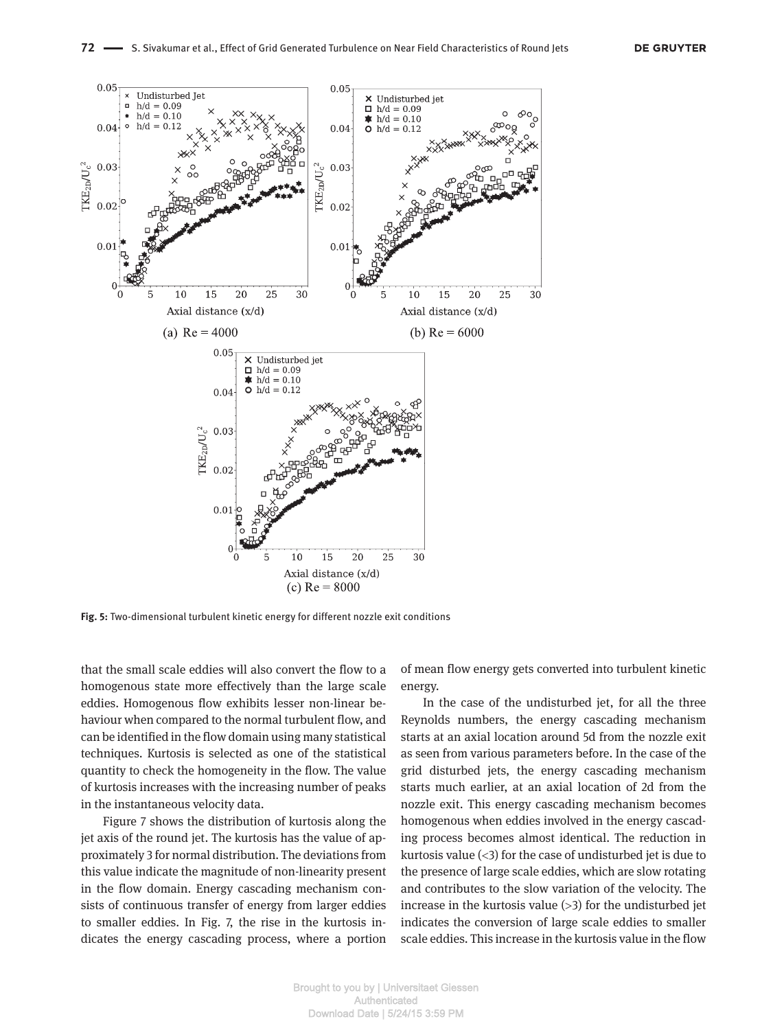

**Fig. 5:** Two-dimensional turbulent kinetic energy for different nozzle exit conditions

that the small scale eddies will also convert the flow to a homogenous state more effectively than the large scale eddies. Homogenous flow exhibits lesser non-linear behaviour when compared to the normal turbulent flow, and can be identified in the flow domain using many statistical techniques. Kurtosis is selected as one of the statistical quantity to check the homogeneity in the flow. The value of kurtosis increases with the increasing number of peaks in the instantaneous velocity data.

Figure 7 shows the distribution of kurtosis along the jet axis of the round jet. The kurtosis has the value of approximately 3 for normal distribution. The deviations from this value indicate the magnitude of non-linearity present in the flow domain. Energy cascading mechanism consists of continuous transfer of energy from larger eddies to smaller eddies. In Fig. 7, the rise in the kurtosis indicates the energy cascading process, where a portion of mean flow energy gets converted into turbulent kinetic energy.

In the case of the undisturbed jet, for all the three Reynolds numbers, the energy cascading mechanism starts at an axial location around 5d from the nozzle exit as seen from various parameters before. In the case of the grid disturbed jets, the energy cascading mechanism starts much earlier, at an axial location of 2d from the nozzle exit. This energy cascading mechanism becomes homogenous when eddies involved in the energy cascading process becomes almost identical. The reduction in kurtosis value  $(\leq 3)$  for the case of undisturbed jet is due to the presence of large scale eddies, which are slow rotating and contributes to the slow variation of the velocity. The increase in the kurtosis value  $(>3)$  for the undisturbed jet indicates the conversion of large scale eddies to smaller scale eddies. This increase in the kurtosis value in the flow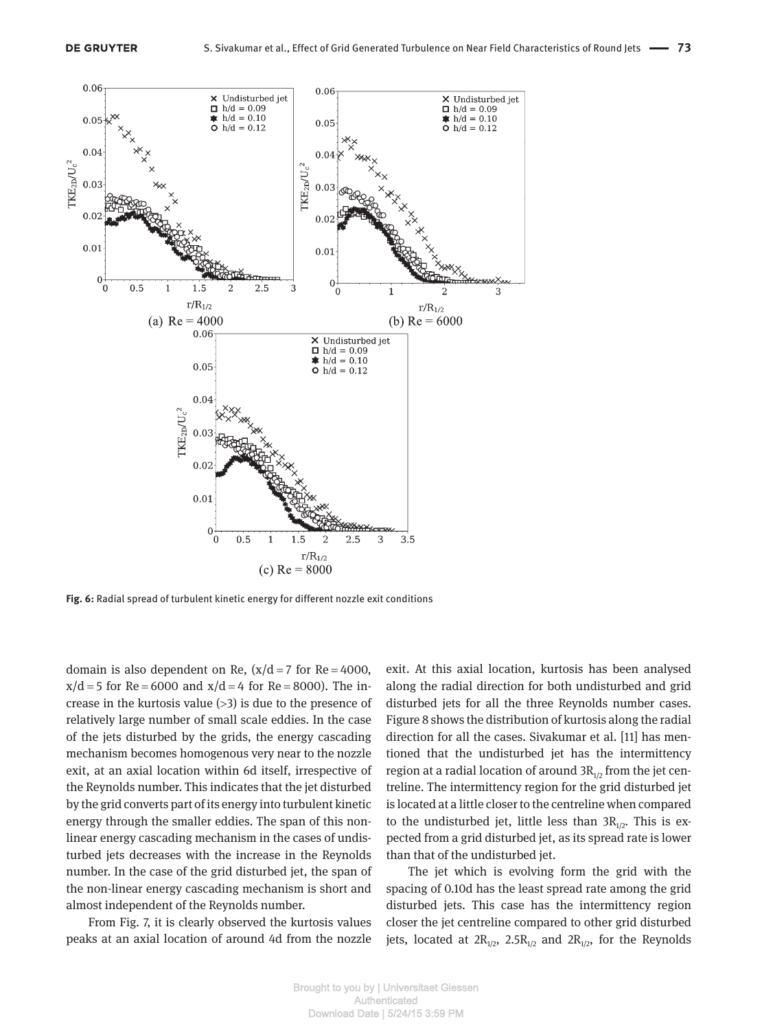

**Fig. 6:** Radial spread of turbulent kinetic energy for different nozzle exit conditions

domain is also dependent on Re,  $(x/d = 7$  for Re = 4000,  $x/d = 5$  for Re = 6000 and  $x/d = 4$  for Re = 8000). The increase in the kurtosis value  $(>3)$  is due to the presence of relatively large number of small scale eddies. In the case of the jets disturbed by the grids, the energy cascading mechanism becomes homogenous very near to the nozzle exit, at an axial location within 6d itself, irrespective of the Reynolds number. This indicates that the jet disturbed by the grid converts part of its energy into turbulent kinetic energy through the smaller eddies. The span of this nonlinear energy cascading mechanism in the cases of undisturbed jets decreases with the increase in the Reynolds number. In the case of the grid disturbed jet, the span of the non-linear energy cascading mechanism is short and almost independent of the Reynolds number.

From Fig. 7, it is clearly observed the kurtosis values peaks at an axial location of around 4d from the nozzle exit. At this axial location, kurtosis has been analysed along the radial direction for both undisturbed and grid disturbed jets for all the three Reynolds number cases. Figure 8 shows the distribution of kurtosis along the radial direction for all the cases. Sivakumar et al. [11] has mentioned that the undisturbed jet has the intermittency region at a radial location of around  $3R_{1/2}$  from the jet centreline. The intermittency region for the grid disturbed jet is located at a little closer to the centreline when compared to the undisturbed jet, little less than  $3R_{1/2}$ . This is expected from a grid disturbed jet, as its spread rate is lower than that of the undisturbed jet.

The jet which is evolving form the grid with the spacing of 0.10d has the least spread rate among the grid disturbed jets. This case has the intermittency region closer the jet centreline compared to other grid disturbed jets, located at  $2R_{1/2}$ ,  $2.5R_{1/2}$  and  $2R_{1/2}$ , for the Reynolds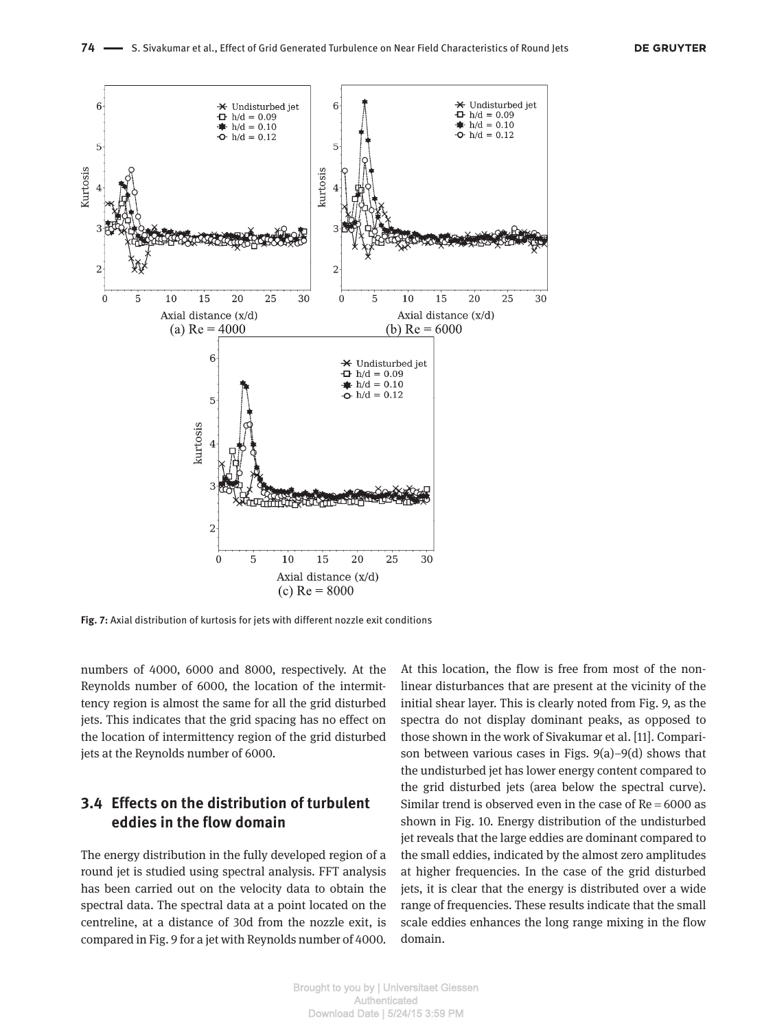

**Fig. 7:** Axial distribution of kurtosis for jets with different nozzle exit conditions

numbers of 4000, 6000 and 8000, respectively. At the Reynolds number of 6000, the location of the intermittency region is almost the same for all the grid disturbed jets. This indicates that the grid spacing has no effect on the location of intermittency region of the grid disturbed jets at the Reynolds number of 6000.

#### **3.4 Effects on the distribution of turbulent eddies in the flow domain**

The energy distribution in the fully developed region of a round jet is studied using spectral analysis. FFT analysis has been carried out on the velocity data to obtain the spectral data. The spectral data at a point located on the centreline, at a distance of 30d from the nozzle exit, is compared in Fig. 9 for a jet with Reynolds number of 4000. At this location, the flow is free from most of the nonlinear disturbances that are present at the vicinity of the initial shear layer. This is clearly noted from Fig. 9, as the spectra do not display dominant peaks, as opposed to those shown in the work of Sivakumar et al. [11]. Comparison between various cases in Figs. 9(a)–9(d) shows that the undisturbed jet has lower energy content compared to the grid disturbed jets (area below the spectral curve). Similar trend is observed even in the case of  $Re = 6000$  as shown in Fig. 10. Energy distribution of the undisturbed jet reveals that the large eddies are dominant compared to the small eddies, indicated by the almost zero amplitudes at higher frequencies. In the case of the grid disturbed jets, it is clear that the energy is distributed over a wide range of frequencies. These results indicate that the small scale eddies enhances the long range mixing in the flow domain.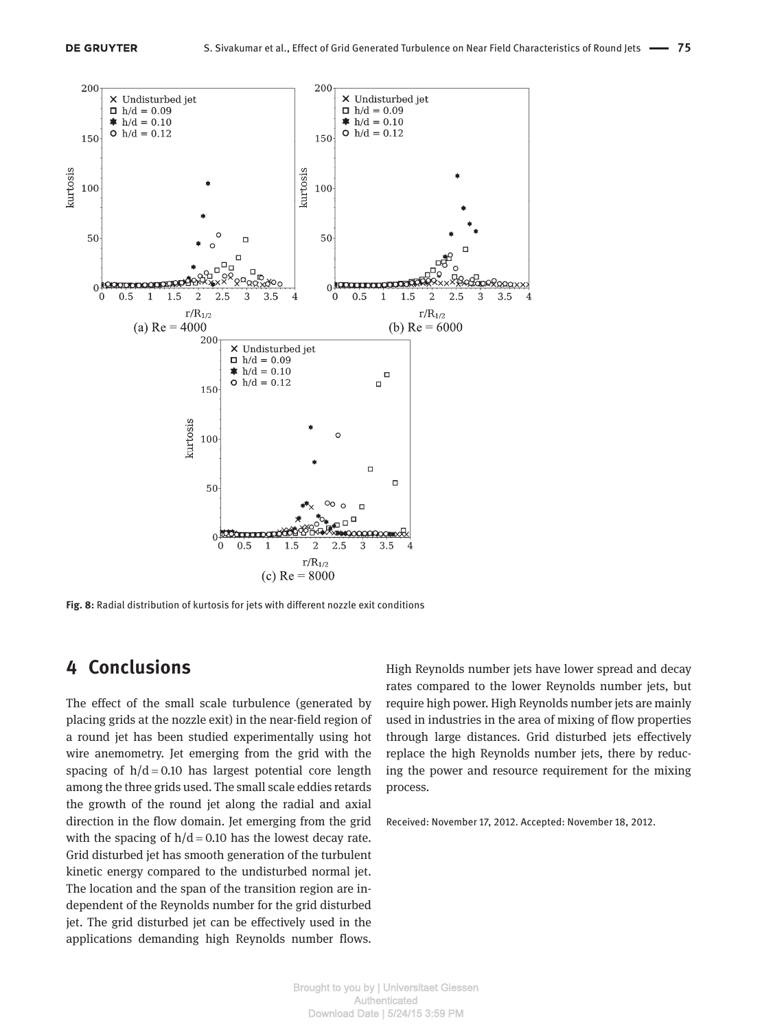

**Fig. 8:** Radial distribution of kurtosis for jets with different nozzle exit conditions

## **4 Conclusions**

The effect of the small scale turbulence (generated by placing grids at the nozzle exit) in the near-field region of a round jet has been studied experimentally using hot wire anemometry. Jet emerging from the grid with the spacing of  $h/d = 0.10$  has largest potential core length among the three grids used. The small scale eddies retards the growth of the round jet along the radial and axial direction in the flow domain. Jet emerging from the grid with the spacing of  $h/d = 0.10$  has the lowest decay rate. Grid disturbed jet has smooth generation of the turbulent kinetic energy compared to the undisturbed normal jet. The location and the span of the transition region are independent of the Reynolds number for the grid disturbed jet. The grid disturbed jet can be effectively used in the applications demanding high Reynolds number flows.

High Reynolds number jets have lower spread and decay rates compared to the lower Reynolds number jets, but require high power. High Reynolds number jets are mainly used in industries in the area of mixing of flow properties through large distances. Grid disturbed jets effectively replace the high Reynolds number jets, there by reducing the power and resource requirement for the mixing process.

Received: November 17, 2012. Accepted: November 18, 2012.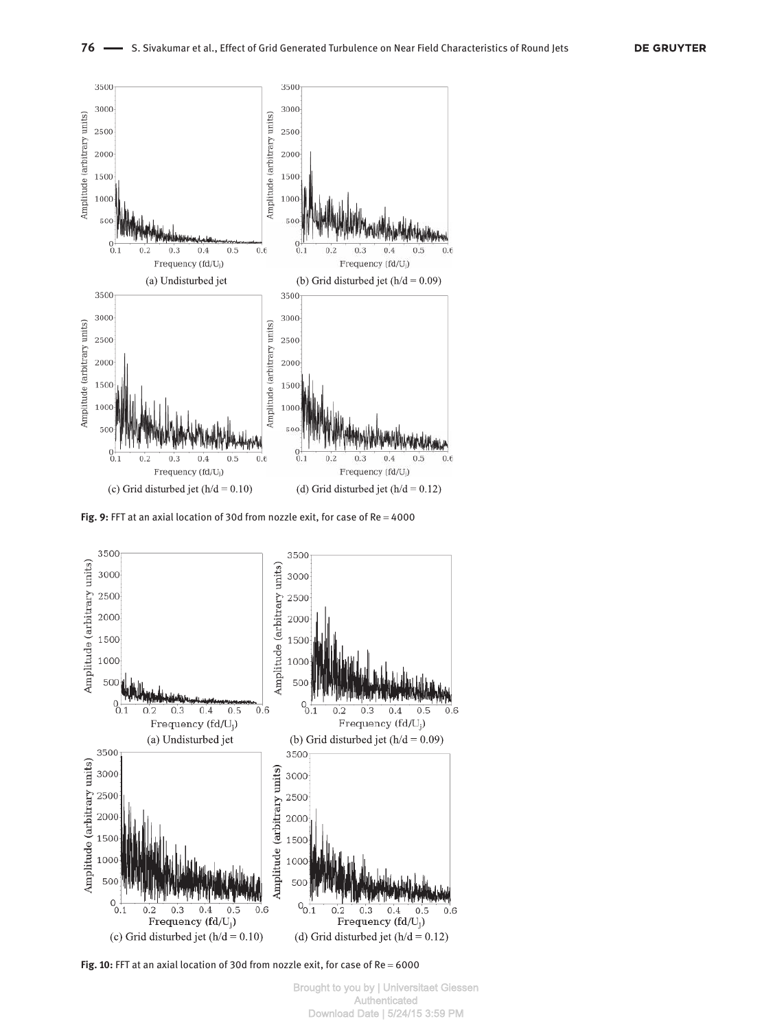

Fig. 9: FFT at an axial location of 30d from nozzle exit, for case of Re = 4000



Fig. 10: FFT at an axial location of 30d from nozzle exit, for case of Re = 6000

Brought to you by | Universitaet Giessen Authenticated Download Date | 5/24/15 3:59 PM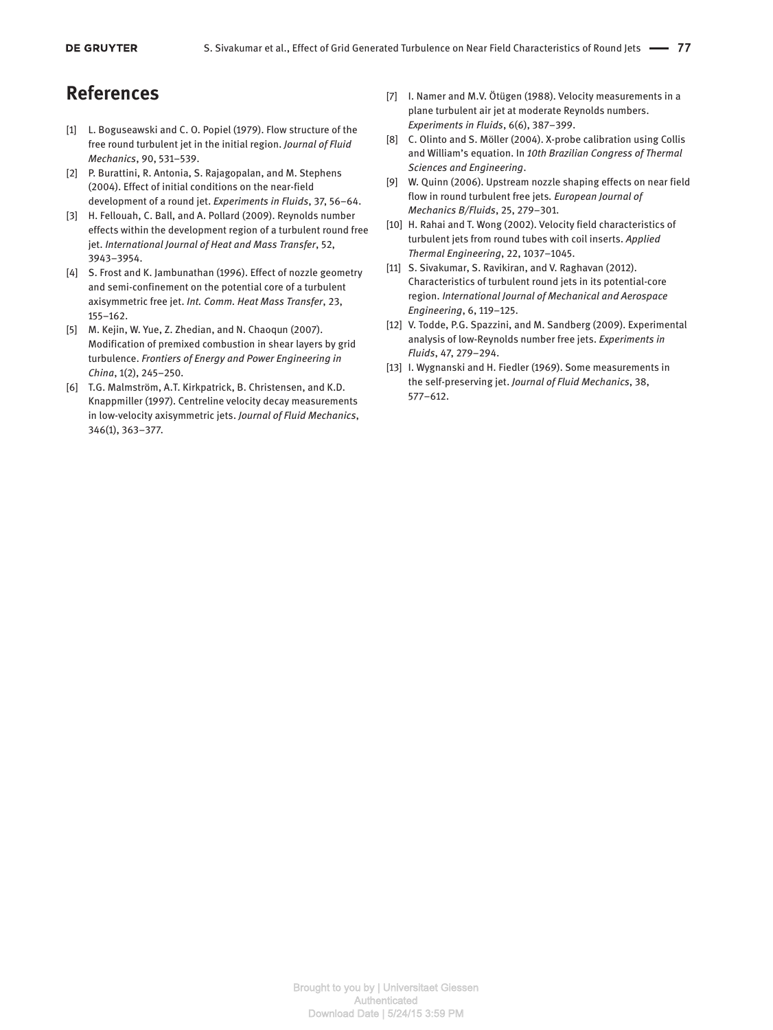## **References**

- [1] L. Boguseawski and C. O. Popiel (1979). Flow structure of the free round turbulent jet in the initial region. *Journal of Fluid Mechanics*, 90, 531–539.
- [2] P. Burattini, R. Antonia, S. Rajagopalan, and M. Stephens (2004). Effect of initial conditions on the near-field development of a round jet. *Experiments in Fluids*, 37, 56–64.
- [3] H. Fellouah, C. Ball, and A. Pollard (2009). Reynolds number effects within the development region of a turbulent round free jet. *International Journal of Heat and Mass Transfer*, 52, 3943–3954.
- [4] S. Frost and K. Jambunathan (1996). Effect of nozzle geometry and semi-confinement on the potential core of a turbulent axisymmetric free jet. *Int. Comm. Heat Mass Transfer*, 23, 155–162.
- [5] M. Kejin, W. Yue, Z. Zhedian, and N. Chaoqun (2007). Modification of premixed combustion in shear layers by grid turbulence. *Frontiers of Energy and Power Engineering in China*, 1(2), 245–250.
- [6] T.G. Malmström, A.T. Kirkpatrick, B. Christensen, and K.D. Knappmiller (1997). Centreline velocity decay measurements in low-velocity axisymmetric jets. *Journal of Fluid Mechanics*, 346(1), 363–377.
- [7] I. Namer and M.V. Ötügen (1988). Velocity measurements in a plane turbulent air jet at moderate Reynolds numbers. *Experiments in Fluids*, 6(6), 387–399.
- [8] C. Olinto and S. Möller (2004). X-probe calibration using Collis and William's equation. In *10th Brazilian Congress of Thermal Sciences and Engineering*.
- [9] W. Quinn (2006). Upstream nozzle shaping effects on near field flow in round turbulent free jets*. European Journal of Mechanics B/Fluids*, 25, 279–301.
- [10] H. Rahai and T. Wong (2002). Velocity field characteristics of turbulent jets from round tubes with coil inserts. *Applied Thermal Engineering*, 22, 1037–1045.
- [11] S. Sivakumar, S. Ravikiran, and V. Raghavan (2012). Characteristics of turbulent round jets in its potential-core region. *International Journal of Mechanical and Aerospace Engineering*, 6, 119–125.
- [12] V. Todde, P.G. Spazzini, and M. Sandberg (2009). Experimental analysis of low-Reynolds number free jets. *Experiments in Fluids*, 47, 279–294.
- [13] I. Wygnanski and H. Fiedler (1969). Some measurements in the self-preserving jet. *Journal of Fluid Mechanics*, 38, 577–612.